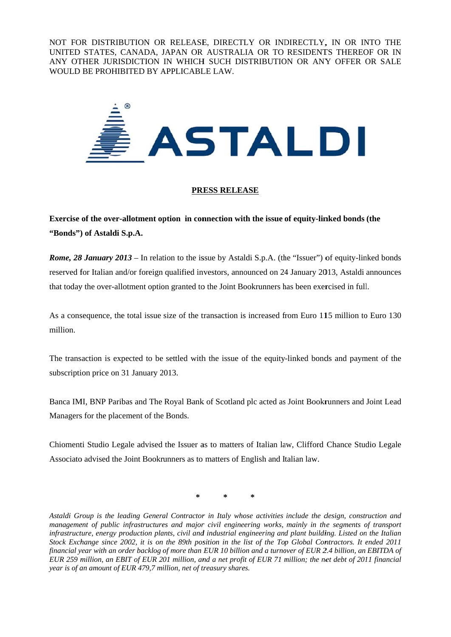NOT FOR DISTRIBUTION OR RELEASE, DIRECTLY OR INDIRECTLY, IN OR INTO THE UNITED STATES, CANADA, JAPAN OR AUSTRALIA OR TO RESIDENTS THEREOF OR IN ANY OTHER JURISDICTION IN WHICH SUCH DISTRIBUTION OR ANY OFFER OR SALE WOULD BE PROHIBITED BY APPLICABLE LAW.



## **PRESS RELEASE**

Exercise of the over-allotment option in connection with the issue of equity-linked bonds (the "Bonds") of Astaldi S.p.A.

**Rome, 28 January 2013** – In relation to the issue by Astaldi S.p.A. (the "Issuer") of equity-linked bonds reserved for Italian and/or foreign qualified investors, announced on 24 January 2013, Astaldi announces that today the over-allotment option granted to the Joint Bookrunners has been exercised in full.

As a consequence, the total issue size of the transaction is increased from Euro 115 million to Euro 130 million

The transaction is expected to be settled with the issue of the equity-linked bonds and payment of the subscription price on 31 January 2013.

Banca IMI, BNP Paribas and The Royal Bank of Scotland plc acted as Joint Bookrunners and Joint Lead Managers for the placement of the Bonds.

Chiomenti Studio Legale advised the Issuer as to matters of Italian law, Clifford Chance Studio Legale Associato advised the Joint Bookrunners as to matters of English and Italian law.

Astaldi Group is the leading General Contractor in Italy whose activities include the design, construction and management of public infrastructures and major civil engineering works, mainly in the segments of transport infrastructure, energy production plants, civil and industrial engineering and plant building. Listed on the Italian Stock Exchange since 2002, it is on the 89th position in the list of the Top Global Contractors. It ended 2011 financial year with an order backlog of more than EUR 10 billion and a turnover of EUR 2.4 billion, an EBITDA of EUR 259 million, an EBIT of EUR 201 million, and a net profit of EUR 71 million; the net debt of 2011 financial year is of an amount of EUR 479.7 million, net of treasury shares.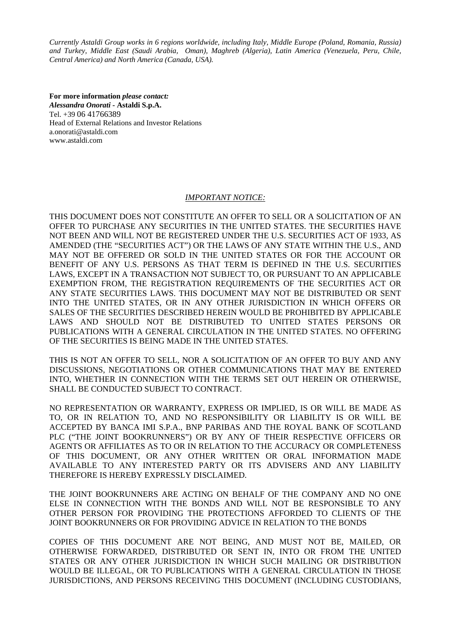*Currently Astaldi Group works in 6 regions worldwide, including Italy, Middle Europe (Poland, Romania, Russia) and Turkey, Middle East (Saudi Arabia, Oman), Maghreb (Algeria), Latin America (Venezuela, Peru, Chile, Central America) and North America (Canada, USA).*

**For more information** *please contact: Alessandra Onorati* **- Astaldi S.p.A.**  Tel. +39 06 41766389 Head of External Relations and Investor Relations a.onorati@astaldi.com www.astaldi.com

## *IMPORTANT NOTICE:*

THIS DOCUMENT DOES NOT CONSTITUTE AN OFFER TO SELL OR A SOLICITATION OF AN OFFER TO PURCHASE ANY SECURITIES IN THE UNITED STATES. THE SECURITIES HAVE NOT BEEN AND WILL NOT BE REGISTERED UNDER THE U.S. SECURITIES ACT OF 1933, AS AMENDED (THE "SECURITIES ACT") OR THE LAWS OF ANY STATE WITHIN THE U.S., AND MAY NOT BE OFFERED OR SOLD IN THE UNITED STATES OR FOR THE ACCOUNT OR BENEFIT OF ANY U.S. PERSONS AS THAT TERM IS DEFINED IN THE U.S. SECURITIES LAWS, EXCEPT IN A TRANSACTION NOT SUBJECT TO, OR PURSUANT TO AN APPLICABLE EXEMPTION FROM, THE REGISTRATION REQUIREMENTS OF THE SECURITIES ACT OR ANY STATE SECURITIES LAWS. THIS DOCUMENT MAY NOT BE DISTRIBUTED OR SENT INTO THE UNITED STATES, OR IN ANY OTHER JURISDICTION IN WHICH OFFERS OR SALES OF THE SECURITIES DESCRIBED HEREIN WOULD BE PROHIBITED BY APPLICABLE LAWS AND SHOULD NOT BE DISTRIBUTED TO UNITED STATES PERSONS OR PUBLICATIONS WITH A GENERAL CIRCULATION IN THE UNITED STATES. NO OFFERING OF THE SECURITIES IS BEING MADE IN THE UNITED STATES.

THIS IS NOT AN OFFER TO SELL, NOR A SOLICITATION OF AN OFFER TO BUY AND ANY DISCUSSIONS, NEGOTIATIONS OR OTHER COMMUNICATIONS THAT MAY BE ENTERED INTO, WHETHER IN CONNECTION WITH THE TERMS SET OUT HEREIN OR OTHERWISE, SHALL BE CONDUCTED SUBJECT TO CONTRACT.

NO REPRESENTATION OR WARRANTY, EXPRESS OR IMPLIED, IS OR WILL BE MADE AS TO, OR IN RELATION TO, AND NO RESPONSIBILITY OR LIABILITY IS OR WILL BE ACCEPTED BY BANCA IMI S.P.A., BNP PARIBAS AND THE ROYAL BANK OF SCOTLAND PLC ("THE JOINT BOOKRUNNERS") OR BY ANY OF THEIR RESPECTIVE OFFICERS OR AGENTS OR AFFILIATES AS TO OR IN RELATION TO THE ACCURACY OR COMPLETENESS OF THIS DOCUMENT, OR ANY OTHER WRITTEN OR ORAL INFORMATION MADE AVAILABLE TO ANY INTERESTED PARTY OR ITS ADVISERS AND ANY LIABILITY THEREFORE IS HEREBY EXPRESSLY DISCLAIMED.

THE JOINT BOOKRUNNERS ARE ACTING ON BEHALF OF THE COMPANY AND NO ONE ELSE IN CONNECTION WITH THE BONDS AND WILL NOT BE RESPONSIBLE TO ANY OTHER PERSON FOR PROVIDING THE PROTECTIONS AFFORDED TO CLIENTS OF THE JOINT BOOKRUNNERS OR FOR PROVIDING ADVICE IN RELATION TO THE BONDS

COPIES OF THIS DOCUMENT ARE NOT BEING, AND MUST NOT BE, MAILED, OR OTHERWISE FORWARDED, DISTRIBUTED OR SENT IN, INTO OR FROM THE UNITED STATES OR ANY OTHER JURISDICTION IN WHICH SUCH MAILING OR DISTRIBUTION WOULD BE ILLEGAL, OR TO PUBLICATIONS WITH A GENERAL CIRCULATION IN THOSE JURISDICTIONS, AND PERSONS RECEIVING THIS DOCUMENT (INCLUDING CUSTODIANS,